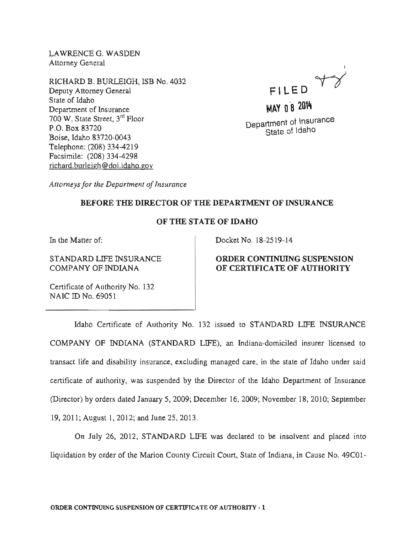LAWRENCE G. WASDEN **Attorney General** 

RICHARD B. BURLEIGH, ISB No. 4032 Deputy Attorney General State of Idaho Department of Insurance 700 W. State Street,  $3^{rd}$  Floor P.O. 83720 Boise, Idaho 83720-0043 Telephone: (208) 334-4219 Facsimile: (208) richard.burleigh@doi.idaho.gov



MAY 0 8 2014 Department of Insurance State of Idaho

*Attorneys for Department of Insurance* 

# BEFORE THE DIRECTOR OF THE DEPARTMENT OF INSURANCE

## OF THE OF IDAHO

In the Matter of:

STANDARD LIFE INSURANCE COMPANY OF INDIANA

Docket No. 18-2519-14

#### ORDER CONTINUING SUSPENSION OF CERTIFICATE OF AUTHORITY

Certificate of Authority No. 132 NAIC ID No. 69051

Idaho Certificate of Authority No. 132 issued to STANDARD LIFE INSURANCE COMPANY OF INDIANA (STANDARD LIFE), an Indiana-domiciled insurer licensed to transact life and disability insurance, excluding managed care, in the state of Idaho under said certificate of authority, was suspended by the Director of the Idaho Department of Insurance (Director) by orders dated January 5, 2009; December 16, 2009; November 18, 2010; September 19, 2011; August 1, 2012; and June 25, 2013.

On July 26, 2012, STANDARD LIFE was declared to be insolvent and placed into liquidation by order of the Marion County Circuit Court, State of Indiana, in Cause No. 49C01-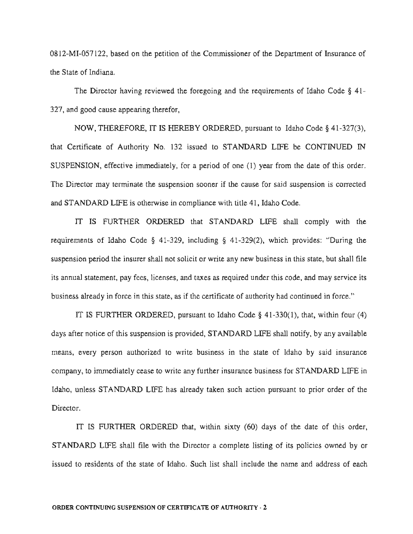0812-MI-057122, based on the petition of the Commissioner of the Department of Insurance of the State of

The Director having reviewed the foregoing and the requirements of Idaho Code  $\S$  41-327, and good cause appearing therefor,

NOW, THEREFORE, IT IS HEREBY ORDERED, pursuant to Idaho Code § 41-327(3), that Certificate of Authority No. 132 issued to STANDARD LIFE be CONTINUED IN SUSPENSION, effective immediately, for a period of one  $(1)$  year from the date of this order. The Director may terminate the suspension sooner if the cause for said suspension is corrected and STANDARD LIFE is otherwise in compliance with title 41, Idaho Code.

IT IS FURTHER ORDERED that STANDARD LIFE shall comply with the ements of Idaho Code § 41-329, including § 41-329(2), which provides: "During the suspension period the insurer shall not solicit or write any new business in this annual statement, pay fees, licenses, and taxes as required under this code, and may already in force in this state, as if the certificate of authority had continued in force."

IT IS FURTHER ORDERED, pursuant to Idaho Code § 41-330(1), that, within four (4) days after notice of this suspension is provided, STANDARD LIFE shall notify, by any available means, every person authorized to write business in the state of Idaho by said insurance company, to immediately cease to write any further insurance business for STANDARD LIFE in Idaho, unless STANDARD LIFE has already taken such action pursuant to prior order of the Director.

IT IS FURTHER ORDERED that, within sixty (60) days of the date of this order, STANDARD LIFE shall file with the Director a complete listing of its policies owned by or issued to residents of the state of Idaho. Such list shall include the name and address of each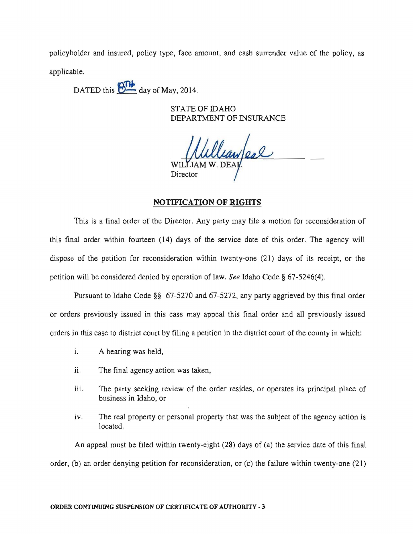policyholder and insured, policy type, face amount, and cash surrender value of the policy, as applicable.

DATED this  $\overline{\bigoplus_{\text{day of May, 2014}}$ .

STATE OF IDAHO DEPARTMENT OF INSURANCE

lean/eal Director

## **NOTIFICATION OF RIGHTS**

This is a final order of the Director. Any party may file a motion for reconsideration of this final order within fourteen (14) days of the service date of this order. The agency will dispose of the petition for reconsideration within twenty-one (21) days of its receipt, or the petition will be considered denied by operation of law. *See* Idaho Code § 67-5246(4).

Pursuant to Idaho Code §§ 67-5270 and 67-5272, any party aggrieved by this final order or orders previously issued in this case may appeal this final order and all previously issued orders in this case to district court by filing a petition in the district court of the county in which:

- 1. A hearing was held,
- ii. The final agency action was taken,
- iii. The party seeking review of the order resides, or operates its principal place of business in Idaho, or
- iv. The real property or personal property that was the subject of the agency action is located.

An appeal must be filed within twenty-eight (28) days of (a) the service date of this final order, (b) an order denying petition for reconsideration, or (c) the failure within twenty-one (21)